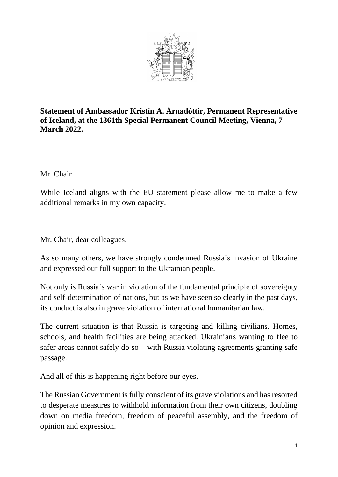

**Statement of Ambassador Kristín A. Árnadóttir, Permanent Representative of Iceland, at the 1361th Special Permanent Council Meeting, Vienna, 7 March 2022.** 

## Mr. Chair

While Iceland aligns with the EU statement please allow me to make a few additional remarks in my own capacity.

Mr. Chair, dear colleagues.

As so many others, we have strongly condemned Russia´s invasion of Ukraine and expressed our full support to the Ukrainian people.

Not only is Russia´s war in violation of the fundamental principle of sovereignty and self-determination of nations, but as we have seen so clearly in the past days, its conduct is also in grave violation of international humanitarian law.

The current situation is that Russia is targeting and killing civilians. Homes, schools, and health facilities are being attacked. Ukrainians wanting to flee to safer areas cannot safely do so – with Russia violating agreements granting safe passage.

And all of this is happening right before our eyes.

The Russian Government is fully conscient of its grave violations and has resorted to desperate measures to withhold information from their own citizens, doubling down on media freedom, freedom of peaceful assembly, and the freedom of opinion and expression.